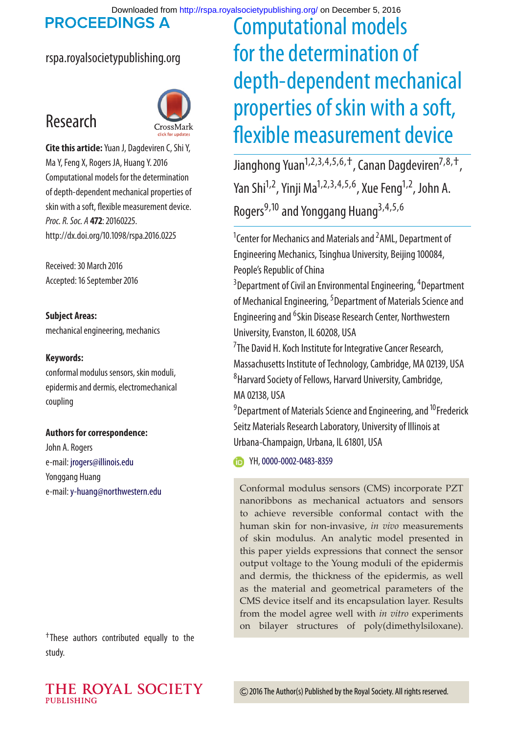Downloaded from<http://rspa.royalsocietypublishing.org/>on December 5, 2016

**PROCEEDINGS A** 

## rspa.royalsocietypublishing.org





**Cite this article:**Yuan J, Dagdeviren C, Shi Y, Ma Y, Feng X, Rogers JA, Huang Y. 2016 Computational models for the determination of depth-dependent mechanical properties of skin with a soft, flexible measurement device. *Proc. R. Soc. A* **472**: 20160225. http://dx.doi.org/10.1098/rspa.2016.0225

Received: 30 March 2016 Accepted: 16 September 2016

**Subject Areas:** mechanical engineering, mechanics

#### **Keywords:**

conformal modulus sensors, skin moduli, epidermis and dermis, electromechanical coupling

**Authors for correspondence:**

John A. Rogers e-mail: [jrogers@illinois.edu](mailto:jrogers@illinois.edu) Yonggang Huang e-mail:[y-huang@northwestern.edu](mailto:y-huang@northwestern.edu)

†These authors contributed equally to the study.

# Computational models for the determination of depth-dependent mechanical properties of skin with a soft, flexible measurement device

Jianghong Yuan<sup>1,2,3,4,5,6,+</sup>, Canan Dagdeviren<sup>7,8,+</sup>, Yan Shi<sup>1,2</sup>, Yinji Ma<sup>1,2,3,4,5,6</sup>, Xue Feng<sup>1,2</sup>, John A. Rogers<sup>9,10</sup> and Yonggang Huang<sup>3,4,5,6</sup>

<sup>1</sup> Center for Mechanics and Materials and <sup>2</sup> AML, Department of Engineering Mechanics, Tsinghua University, Beijing 100084, People's Republic of China

<sup>3</sup>Department of Civil an Environmental Engineering, <sup>4</sup>Department of Mechanical Engineering, <sup>5</sup> Department of Materials Science and Engineering and <sup>6</sup>Skin Disease Research Center, Northwestern University, Evanston, IL 60208, USA

<sup>7</sup>The David H. Koch Institute for Integrative Cancer Research, Massachusetts Institute of Technology, Cambridge, MA 02139, USA 8 Harvard Society of Fellows, Harvard University, Cambridge, MA 02138, USA

<sup>9</sup> Department of Materials Science and Engineering, and <sup>10</sup> Frederick Seitz Materials Research Laboratory, University of Illinois at Urbana-Champaign, Urbana, IL 61801, USA

TH, [0000-0002-0483-8359](http://orcid.org/0000-0002-0483-8359)

Conformal modulus sensors (CMS) incorporate PZT nanoribbons as mechanical actuators and sensors to achieve reversible conformal contact with the human skin for non-invasive, *in vivo* measurements of skin modulus. An analytic model presented in this paper yields expressions that connect the sensor output voltage to the Young moduli of the epidermis and dermis, the thickness of the epidermis, as well as the material and geometrical parameters of the CMS device itself and its encapsulation layer. Results from the model agree well with *in vitro* experiments on bilayer structures of poly(dimethylsiloxane).

THE ROYAL SOCIETY PUBLISHING

2016 The Author(s) Published by the Royal Society. All rights reserved.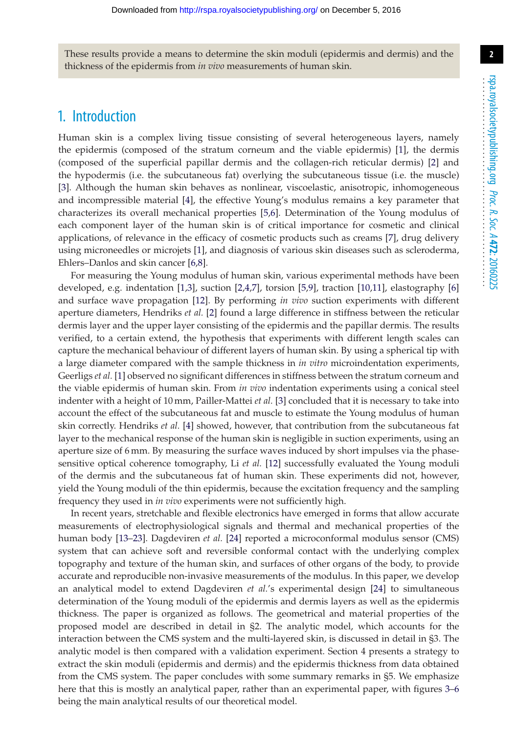These results provide a means to determine the skin moduli (epidermis and dermis) and the thickness of the epidermis from *in vivo* measurements of human skin.

## 1. Introduction

Human skin is a complex living tissue consisting of several heterogeneous layers, namely the epidermis (composed of the stratum corneum and the viable epidermis) [\[1\]](#page-15-0), the dermis (composed of the superficial papillar dermis and the collagen-rich reticular dermis) [\[2\]](#page-15-1) and the hypodermis (i.e. the subcutaneous fat) overlying the subcutaneous tissue (i.e. the muscle) [\[3\]](#page-15-2). Although the human skin behaves as nonlinear, viscoelastic, anisotropic, inhomogeneous and incompressible material [\[4\]](#page-15-3), the effective Young's modulus remains a key parameter that characterizes its overall mechanical properties [\[5](#page-15-4)[,6\]](#page-15-5). Determination of the Young modulus of each component layer of the human skin is of critical importance for cosmetic and clinical applications, of relevance in the efficacy of cosmetic products such as creams [\[7\]](#page-15-6), drug delivery using microneedles or microjets [\[1\]](#page-15-0), and diagnosis of various skin diseases such as scleroderma, Ehlers–Danlos and skin cancer [\[6,](#page-15-5)[8\]](#page-15-7).

For measuring the Young modulus of human skin, various experimental methods have been developed, e.g. indentation [\[1,](#page-15-0)[3\]](#page-15-2), suction [\[2](#page-15-1)[,4](#page-15-3)[,7\]](#page-15-6), torsion [\[5](#page-15-4)[,9\]](#page-15-8), traction [\[10](#page-15-9)[,11\]](#page-15-10), elastography [\[6\]](#page-15-5) and surface wave propagation [\[12\]](#page-16-0). By performing *in vivo* suction experiments with different aperture diameters, Hendriks *et al.* [\[2\]](#page-15-1) found a large difference in stiffness between the reticular dermis layer and the upper layer consisting of the epidermis and the papillar dermis. The results verified, to a certain extend, the hypothesis that experiments with different length scales can capture the mechanical behaviour of different layers of human skin. By using a spherical tip with a large diameter compared with the sample thickness in *in vitro* microindentation experiments, Geerligs *et al.* [\[1\]](#page-15-0) observed no significant differences in stiffness between the stratum corneum and the viable epidermis of human skin. From *in vivo* indentation experiments using a conical steel indenter with a height of 10 mm, Pailler-Mattei *et al.* [\[3\]](#page-15-2) concluded that it is necessary to take into account the effect of the subcutaneous fat and muscle to estimate the Young modulus of human skin correctly. Hendriks *et al.* [\[4\]](#page-15-3) showed, however, that contribution from the subcutaneous fat layer to the mechanical response of the human skin is negligible in suction experiments, using an aperture size of 6 mm. By measuring the surface waves induced by short impulses via the phasesensitive optical coherence tomography, Li *et al.* [\[12\]](#page-16-0) successfully evaluated the Young moduli of the dermis and the subcutaneous fat of human skin. These experiments did not, however, yield the Young moduli of the thin epidermis, because the excitation frequency and the sampling frequency they used in *in vivo* experiments were not sufficiently high.

In recent years, stretchable and flexible electronics have emerged in forms that allow accurate measurements of electrophysiological signals and thermal and mechanical properties of the human body [\[13](#page-16-1)[–23\]](#page-16-2). Dagdeviren *et al.* [\[24\]](#page-16-3) reported a microconformal modulus sensor (CMS) system that can achieve soft and reversible conformal contact with the underlying complex topography and texture of the human skin, and surfaces of other organs of the body, to provide accurate and reproducible non-invasive measurements of the modulus. In this paper, we develop an analytical model to extend Dagdeviren *et al.*'s experimental design [\[24\]](#page-16-3) to simultaneous determination of the Young moduli of the epidermis and dermis layers as well as the epidermis thickness. The paper is organized as follows. The geometrical and material properties of the proposed model are described in detail in §2. The analytic model, which accounts for the interaction between the CMS system and the multi-layered skin, is discussed in detail in §3. The analytic model is then compared with a validation experiment. Section 4 presents a strategy to extract the skin moduli (epidermis and dermis) and the epidermis thickness from data obtained from the CMS system. The paper concludes with some summary remarks in §5. We emphasize here that this is mostly an analytical paper, rather than an experimental paper, with figures [3–](#page-8-0)[6](#page-9-0) being the main analytical results of our theoretical model.

...................................................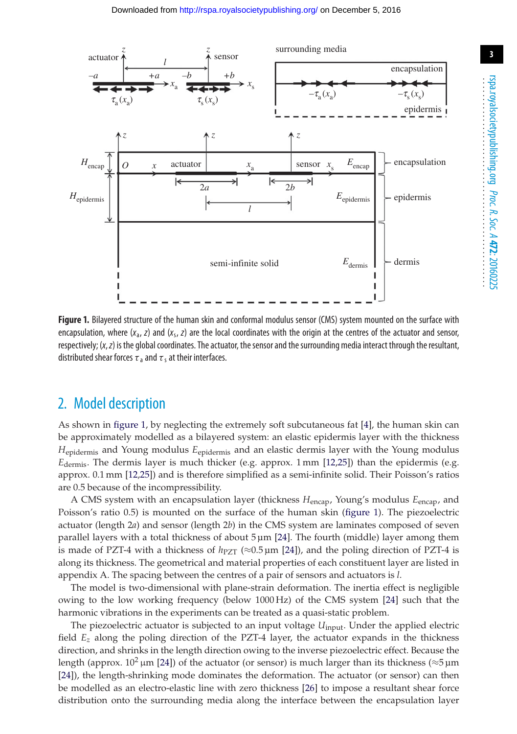

<span id="page-2-0"></span>**Figure 1.** Bilayered structure of the human skin and conformal modulus sensor (CMS) system mounted on the surface with encapsulation, where  $(x_a, z)$  and  $(x_a, z)$  are the local coordinates with the origin at the centres of the actuator and sensor, respectively; (*x*,*z*) is the global coordinates. The actuator, the sensor and the surrounding media interact through the resultant, distributed shear forces  $\tau_a$  and  $\tau_s$  at their interfaces.

# 2. Model description

As shown in [figure 1,](#page-2-0) by neglecting the extremely soft subcutaneous fat [\[4\]](#page-15-3), the human skin can be approximately modelled as a bilayered system: an elastic epidermis layer with the thickness *H*epidermis and Young modulus *E*epidermis and an elastic dermis layer with the Young modulus *E*dermis. The dermis layer is much thicker (e.g. approx. 1 mm [\[12](#page-16-0)[,25\]](#page-16-4)) than the epidermis (e.g. approx. 0.1 mm [\[12](#page-16-0)[,25\]](#page-16-4)) and is therefore simplified as a semi-infinite solid. Their Poisson's ratios are 0.5 because of the incompressibility.

A CMS system with an encapsulation layer (thickness *H*encap, Young's modulus *E*encap, and Poisson's ratio 0.5) is mounted on the surface of the human skin [\(figure 1\)](#page-2-0). The piezoelectric actuator (length 2*a*) and sensor (length 2*b*) in the CMS system are laminates composed of seven parallel layers with a total thickness of about 5 µm [\[24\]](#page-16-3). The fourth (middle) layer among them is made of PZT-4 with a thickness of  $h_{PZT} \approx 0.5 \,\mu m$  [\[24\]](#page-16-3)), and the poling direction of PZT-4 is along its thickness. The geometrical and material properties of each constituent layer are listed in appendix A. The spacing between the centres of a pair of sensors and actuators is *l*.

The model is two-dimensional with plane-strain deformation. The inertia effect is negligible owing to the low working frequency (below 1000 Hz) of the CMS system [\[24\]](#page-16-3) such that the harmonic vibrations in the experiments can be treated as a quasi-static problem.

The piezoelectric actuator is subjected to an input voltage *U*<sub>input</sub>. Under the applied electric field *Ez* along the poling direction of the PZT-4 layer, the actuator expands in the thickness direction, and shrinks in the length direction owing to the inverse piezoelectric effect. Because the length (approx.  $10^2 \,\mu m$  [\[24\]](#page-16-3)) of the actuator (or sensor) is much larger than its thickness ( $\approx 5 \,\mu m$ ) [\[24\]](#page-16-3)), the length-shrinking mode dominates the deformation. The actuator (or sensor) can then be modelled as an electro-elastic line with zero thickness [\[26\]](#page-16-5) to impose a resultant shear force distribution onto the surrounding media along the interface between the encapsulation layer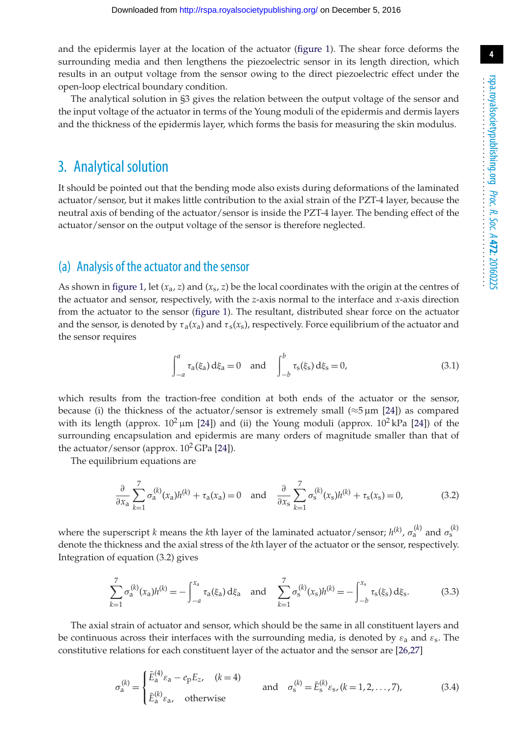and the epidermis layer at the location of the actuator [\(figure 1\)](#page-2-0). The shear force deforms the surrounding media and then lengthens the piezoelectric sensor in its length direction, which results in an output voltage from the sensor owing to the direct piezoelectric effect under the open-loop electrical boundary condition.

The analytical solution in §3 gives the relation between the output voltage of the sensor and the input voltage of the actuator in terms of the Young moduli of the epidermis and dermis layers and the thickness of the epidermis layer, which forms the basis for measuring the skin modulus.

## 3. Analytical solution

It should be pointed out that the bending mode also exists during deformations of the laminated actuator/sensor, but it makes little contribution to the axial strain of the PZT-4 layer, because the neutral axis of bending of the actuator/sensor is inside the PZT-4 layer. The bending effect of the actuator/sensor on the output voltage of the sensor is therefore neglected.

### (a) Analysis of the actuator and the sensor

As shown in [figure 1,](#page-2-0) let  $(x_a, z)$  and  $(x_s, z)$  be the local coordinates with the origin at the centres of the actuator and sensor, respectively, with the *z*-axis normal to the interface and *x*-axis direction from the actuator to the sensor [\(figure 1\)](#page-2-0). The resultant, distributed shear force on the actuator and the sensor, is denoted by  $\tau_a(x_a)$  and  $\tau_s(x_s)$ , respectively. Force equilibrium of the actuator and the sensor requires

$$
\int_{-a}^{a} \tau_a(\xi_a) d\xi_a = 0 \text{ and } \int_{-b}^{b} \tau_s(\xi_s) d\xi_s = 0,
$$
 (3.1)

which results from the traction-free condition at both ends of the actuator or the sensor, because (i) the thickness of the actuator/sensor is extremely small ( $\approx$ 5 µm [\[24\]](#page-16-3)) as compared with its length (approx.  $10^2 \mu m$  [\[24\]](#page-16-3)) and (ii) the Young moduli (approx.  $10^2 kPa$  [24]) of the surrounding encapsulation and epidermis are many orders of magnitude smaller than that of the actuator/sensor (approx.  $10^2$  GPa [\[24\]](#page-16-3)).

The equilibrium equations are

$$
\frac{\partial}{\partial x_a} \sum_{k=1}^7 \sigma_a^{(k)}(x_a) h^{(k)} + \tau_a(x_a) = 0 \quad \text{and} \quad \frac{\partial}{\partial x_s} \sum_{k=1}^7 \sigma_s^{(k)}(x_s) h^{(k)} + \tau_s(x_s) = 0,\tag{3.2}
$$

where the superscript *k* means the *k*th layer of the laminated actuator/sensor;  $h^{(k)}$ ,  $\sigma_a^{(k)}$  and  $\sigma_s^{(k)}$ denote the thickness and the axial stress of the *k*th layer of the actuator or the sensor, respectively. Integration of equation (3.2) gives

$$
\sum_{k=1}^{7} \sigma_{a}^{(k)}(x_{a}) h^{(k)} = -\int_{-a}^{x_{a}} \tau_{a}(\xi_{a}) d\xi_{a} \text{ and } \sum_{k=1}^{7} \sigma_{s}^{(k)}(x_{s}) h^{(k)} = -\int_{-b}^{x_{s}} \tau_{s}(\xi_{s}) d\xi_{s}.
$$
 (3.3)

The axial strain of actuator and sensor, which should be the same in all constituent layers and be continuous across their interfaces with the surrounding media, is denoted by  $\varepsilon_a$  and  $\varepsilon_s$ . The constitutive relations for each constituent layer of the actuator and the sensor are [\[26,](#page-16-5)[27\]](#page-16-6)

$$
\sigma_{a}^{(k)} = \begin{cases} \bar{E}_{a}^{(4)} \varepsilon_{a} - e_{p} E_{z}, & (k = 4) \\ \bar{E}_{a}^{(k)} \varepsilon_{a}, & \text{otherwise} \end{cases} \quad \text{and} \quad \sigma_{s}^{(k)} = \bar{E}_{s}^{(k)} \varepsilon_{s}, (k = 1, 2, ..., 7), \tag{3.4}
$$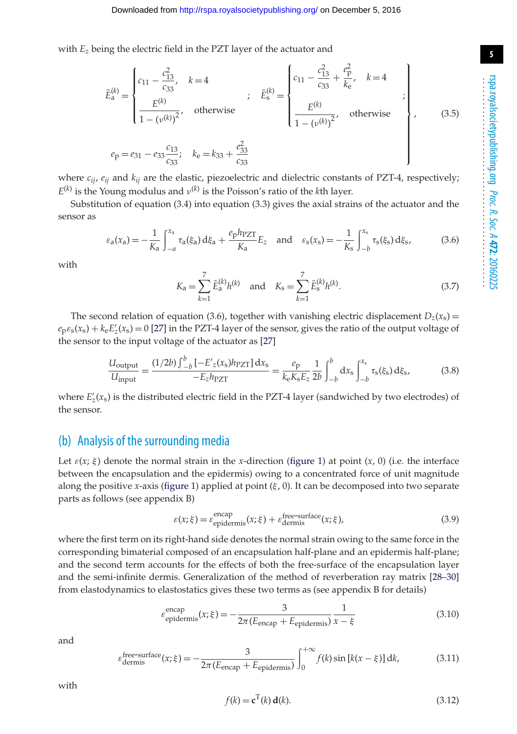with *Ez* being the electric field in the PZT layer of the actuator and

$$
\bar{E}_{\rm a}^{(k)} = \begin{cases}\nc_{11} - \frac{c_{13}^2}{c_{33}}, & k = 4 \\
\frac{E^{(k)}}{1 - (\nu^{(k)})^2}, & \text{otherwise}\n\end{cases}; \quad \bar{E}_{\rm s}^{(k)} = \begin{cases}\nc_{11} - \frac{c_{13}^2}{c_{33}} + \frac{e_{\rm p}^2}{k_{\rm e}}, & k = 4 \\
\frac{E^{(k)}}{1 - (\nu^{(k)})^2}, & \text{otherwise}\n\end{cases};
$$
\n
$$
e_{\rm p} = e_{31} - e_{33} \frac{c_{13}}{c_{33}}; \quad k_{\rm e} = k_{33} + \frac{e_{33}^2}{c_{33}}
$$
\n(3.5)

where  $c_{ij}$ ,  $e_{ij}$  and  $k_{ij}$  are the elastic, piezoelectric and dielectric constants of PZT-4, respectively;  $E^{(k)}$  is the Young modulus and  $v^{(k)}$  is the Poisson's ratio of the *k*th layer.

Substitution of equation (3.4) into equation (3.3) gives the axial strains of the actuator and the sensor as

$$
\varepsilon_{a}(x_{a}) = -\frac{1}{K_{a}} \int_{-a}^{x_{a}} \tau_{a}(\xi_{a}) d\xi_{a} + \frac{e_{p} h_{PZT}}{K_{a}} E_{z} \text{ and } \varepsilon_{s}(x_{s}) = -\frac{1}{K_{s}} \int_{-b}^{x_{s}} \tau_{s}(\xi_{s}) d\xi_{s}, \qquad (3.6)
$$

with

$$
K_{\rm a} = \sum_{k=1}^{7} \bar{E}_{\rm a}^{(k)} h^{(k)} \quad \text{and} \quad K_{\rm s} = \sum_{k=1}^{7} \bar{E}_{\rm s}^{(k)} h^{(k)}.
$$
 (3.7)

The second relation of equation (3.6), together with vanishing electric displacement  $D_z(x_s)$  =  $e_p \epsilon_s(x_s) + k_e E'_z(x_s) = 0$  [\[27\]](#page-16-6) in the PZT-4 layer of the sensor, gives the ratio of the output voltage of the sensor to the input voltage of the actuator as [\[27\]](#page-16-6)

$$
\frac{U_{\text{output}}}{U_{\text{input}}} = \frac{(1/2b)\int_{-b}^{b} \left[-E_{z}(x_{s})h_{\text{PZT}}\right]dx_{s}}{-E_{z}h_{\text{PZT}}} = \frac{e_{\text{p}}}{k_{\text{e}}K_{\text{s}}E_{z}}\frac{1}{2b}\int_{-b}^{b} dx_{\text{s}}\int_{-b}^{x_{\text{s}}} \tau_{\text{s}}(\xi_{\text{s}})\,\mathrm{d}\xi_{\text{s}},\tag{3.8}
$$

where  $E'_{z}(x_{s})$  is the distributed electric field in the PZT-4 layer (sandwiched by two electrodes) of the sensor.

#### (b) Analysis of the surrounding media

Let  $\varepsilon(x; \xi)$  denote the normal strain in the *x*-direction [\(figure 1\)](#page-2-0) at point  $(x, 0)$  (i.e. the interface between the encapsulation and the epidermis) owing to a concentrated force of unit magnitude along the positive *x*-axis [\(figure 1\)](#page-2-0) applied at point  $(\xi, 0)$ . It can be decomposed into two separate parts as follows (see appendix B)

$$
\varepsilon(x;\xi) = \varepsilon_{\text{epidermis}}^{\text{encap}}(x;\xi) + \varepsilon_{\text{dermis}}^{\text{free-surface}}(x;\xi),\tag{3.9}
$$

where the first term on its right-hand side denotes the normal strain owing to the same force in the corresponding bimaterial composed of an encapsulation half-plane and an epidermis half-plane; and the second term accounts for the effects of both the free-surface of the encapsulation layer and the semi-infinite dermis. Generalization of the method of reverberation ray matrix [\[28](#page-16-7)[–30\]](#page-16-8) from elastodynamics to elastostatics gives these two terms as (see appendix B for details)

$$
\varepsilon_{\text{epidermis}}^{\text{encap}}(x;\xi) = -\frac{3}{2\pi(E_{\text{encap}} + E_{\text{epidermis}})} \frac{1}{x - \xi}
$$
(3.10)

and

$$
\varepsilon_{\text{dermis}}^{\text{free-surface}}(x;\xi) = -\frac{3}{2\pi(E_{\text{encap}} + E_{\text{epidermis}})} \int_{0}^{+\infty} f(k) \sin\left[k(x-\xi)\right] dk,\tag{3.11}
$$

with

$$
f(k) = \mathbf{c}^{\mathrm{T}}(k) \mathbf{d}(k). \tag{3.12}
$$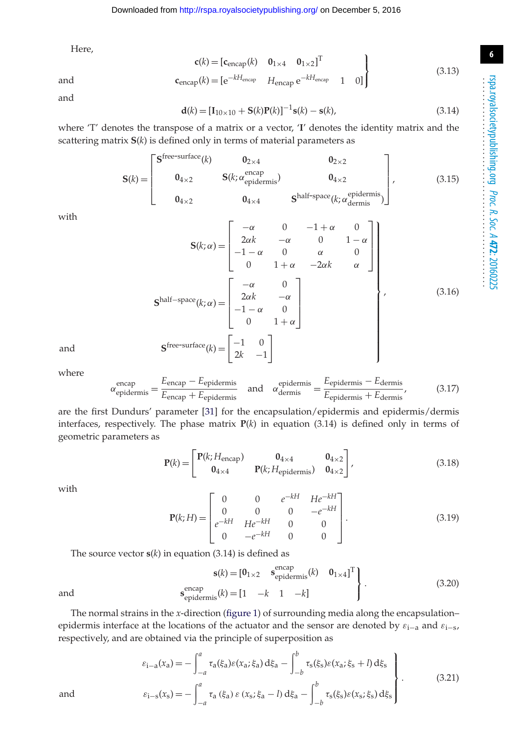**6**

Here,

$$
\mathbf{c}(k) = [\mathbf{c}_{\text{encap}}(k) \quad \mathbf{0}_{1 \times 4} \quad \mathbf{0}_{1 \times 2}]^{\text{T}}
$$
(3.13)

 $\mathsf{J}$ 

and  $\mathbf{c}_{\text{encap}}(k) = [e^{-kH_{\text{encap}}} \quad H_{\text{encap}} \, e^{-kH_{\text{encap}}} \quad 1 \quad 0]$ 

and

$$
\mathbf{d}(k) = [\mathbf{I}_{10 \times 10} + \mathbf{S}(k)\mathbf{P}(k)]^{-1}\mathbf{s}(k) - \mathbf{s}(k),
$$
\n(3.14)

where 'T' denotes the transpose of a matrix or a vector, '**I**' denotes the identity matrix and the scattering matrix **S**(*k*) is defined only in terms of material parameters as

$$
\mathbf{S}(k) = \begin{bmatrix} \mathbf{S}^{\text{free-surface}}(k) & \mathbf{0}_{2\times 4} & \mathbf{0}_{2\times 2} \\ \mathbf{0}_{4\times 2} & \mathbf{S}(k; \alpha_{\text{epidermis}}^{\text{encap}}) & \mathbf{0}_{4\times 2} \\ \mathbf{0}_{4\times 2} & \mathbf{0}_{4\times 4} & \mathbf{S}^{\text{half-space}}(k; \alpha_{\text{dermis}}^{\text{epidermis}}) \end{bmatrix},
$$
(3.15)

with

$$
\mathbf{S}(k; \alpha) = \begin{bmatrix} -\alpha & 0 & -1 + \alpha & 0 \\ 2\alpha k & -\alpha & 0 & 1 - \alpha \\ -1 - \alpha & 0 & \alpha & 0 \\ 0 & 1 + \alpha & -2\alpha k & \alpha \end{bmatrix}
$$
\n
$$
\mathbf{S}^{\text{half-space}}(k; \alpha) = \begin{bmatrix} -\alpha & 0 \\ 2\alpha k & -\alpha \\ -1 - \alpha & 0 \\ 0 & 1 + \alpha \end{bmatrix}, \qquad (3.16)
$$
\nand\n
$$
\mathbf{S}^{\text{free-surface}}(k) = \begin{bmatrix} -1 & 0 \\ 2k & -1 \end{bmatrix}
$$

where

$$
\alpha_{\text{epidermis}}^{\text{encap}} = \frac{E_{\text{encap}} - E_{\text{epidermis}}}{E_{\text{encap}} + E_{\text{epidermis}}}
$$
 and 
$$
\alpha_{\text{dermis}}^{\text{epidermis}} = \frac{E_{\text{epidermis}} - E_{\text{dermis}}}{E_{\text{epidermis}} + E_{\text{dermis}}},
$$
(3.17)

are the first Dundurs' parameter [\[31\]](#page-16-9) for the encapsulation/epidermis and epidermis/dermis interfaces, respectively. The phase matrix  $P(k)$  in equation (3.14) is defined only in terms of geometric parameters as

$$
\mathbf{P}(k) = \begin{bmatrix} \mathbf{P}(k; H_{\text{encap}}) & \mathbf{0}_{4 \times 4} & \mathbf{0}_{4 \times 2} \\ \mathbf{0}_{4 \times 4} & \mathbf{P}(k; H_{\text{epidermis}}) & \mathbf{0}_{4 \times 2} \end{bmatrix},
$$
(3.18)

with

$$
\mathbf{P}(k;H) = \begin{bmatrix} 0 & 0 & e^{-kH} & He^{-kH} \\ 0 & 0 & 0 & -e^{-kH} \\ e^{-kH} & He^{-kH} & 0 & 0 \\ 0 & -e^{-kH} & 0 & 0 \end{bmatrix}.
$$
 (3.19)

The source vector  $s(k)$  in equation (3.14) is defined as

$$
\mathbf{s}(k) = \begin{bmatrix} \mathbf{0}_{1 \times 2} & \mathbf{s}_{\text{epidermis}}^{\text{encap}}(k) & \mathbf{0}_{1 \times 4} \end{bmatrix}^{\text{T}} \right\}.
$$
\n
$$
\mathbf{s}_{\text{epidermis}}^{\text{encap}}(k) = \begin{bmatrix} 1 & -k & 1 & -k \end{bmatrix} \tag{3.20}
$$

and **s**

The normal strains in the *x*-direction [\(figure 1\)](#page-2-0) of surrounding media along the encapsulation– epidermis interface at the locations of the actuator and the sensor are denoted by  $\varepsilon_{i-a}$  and  $\varepsilon_{i-s}$ , respectively, and are obtained via the principle of superposition as

$$
\varepsilon_{i-a}(x_a) = -\int_{-a}^{a} \tau_a(\xi_a) \varepsilon(x_a; \xi_a) d\xi_a - \int_{-b}^{b} \tau_s(\xi_s) \varepsilon(x_a; \xi_s + l) d\xi_s
$$
\nand\n
$$
\varepsilon_{i-s}(x_s) = -\int_{-a}^{a} \tau_a(\xi_a) \varepsilon(x_s; \xi_a - l) d\xi_a - \int_{-b}^{b} \tau_s(\xi_s) \varepsilon(x_s; \xi_s) d\xi_s
$$
\n(3.21)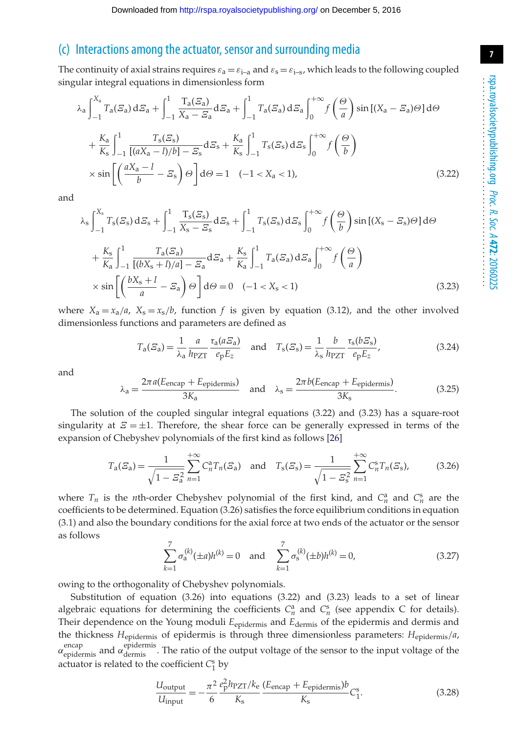#### (c) Interactions among the actuator, sensor and surrounding media

The continuity of axial strains requires  $\varepsilon_a = \varepsilon_{i-a}$  and  $\varepsilon_s = \varepsilon_{i-s}$ , which leads to the following coupled singular integral equations in dimensionless form

$$
\lambda_{a} \int_{-1}^{X_{a}} T_{a}(\mathcal{E}_{a}) d\mathcal{E}_{a} + \int_{-1}^{1} \frac{T_{a}(\mathcal{E}_{a})}{X_{a} - \mathcal{E}_{a}} d\mathcal{E}_{a} + \int_{-1}^{1} T_{a}(\mathcal{E}_{a}) d\mathcal{E}_{a} \int_{0}^{+\infty} f\left(\frac{\Theta}{a}\right) \sin\left[(X_{a} - \mathcal{E}_{a})\Theta\right] d\Theta
$$

$$
+ \frac{K_{a}}{K_{s}} \int_{-1}^{1} \frac{T_{s}(\mathcal{E}_{s})}{\left[(aX_{a} - l)/b\right] - \mathcal{E}_{s}} d\mathcal{E}_{s} + \frac{K_{a}}{K_{s}} \int_{-1}^{1} T_{s}(\mathcal{E}_{s}) d\mathcal{E}_{s} \int_{0}^{+\infty} f\left(\frac{\Theta}{b}\right)
$$

$$
\times \sin\left[\left(\frac{aX_{a} - l}{b} - \mathcal{E}_{s}\right)\Theta\right] d\Theta = 1 \quad (-1 < X_{a} < 1), \tag{3.22}
$$

and

$$
\lambda_{\rm s} \int_{-1}^{X_{\rm s}} T_{\rm s}(\mathcal{E}_{\rm s}) d\mathcal{E}_{\rm s} + \int_{-1}^{1} \frac{T_{\rm s}(\mathcal{E}_{\rm s})}{X_{\rm s} - \mathcal{E}_{\rm s}} d\mathcal{E}_{\rm s} + \int_{-1}^{1} T_{\rm s}(\mathcal{E}_{\rm s}) d\mathcal{E}_{\rm s} \int_{0}^{+\infty} f\left(\frac{\Theta}{b}\right) \sin\left[(X_{\rm s} - \mathcal{E}_{\rm s})\Theta\right] d\Theta
$$
\n
$$
+ \frac{K_{\rm s}}{K_{\rm a}} \int_{-1}^{1} \frac{T_{\rm a}(\mathcal{E}_{\rm a})}{\left[(bX_{\rm s} + l)/a\right] - \mathcal{E}_{\rm a}} d\mathcal{E}_{\rm a} + \frac{K_{\rm s}}{K_{\rm a}} \int_{-1}^{1} T_{\rm a}(\mathcal{E}_{\rm a}) d\mathcal{E}_{\rm a} \int_{0}^{+\infty} f\left(\frac{\Theta}{a}\right)
$$
\n
$$
\times \sin\left[\left(\frac{bX_{\rm s} + l}{a} - \mathcal{E}_{\rm a}\right)\Theta\right] d\Theta = 0 \quad (-1 < X_{\rm s} < 1) \tag{3.23}
$$

where  $X_a = x_a/a$ ,  $X_s = x_s/b$ , function f is given by equation (3.12), and the other involved dimensionless functions and parameters are defined as

$$
T_a(\mathcal{E}_a) = \frac{1}{\lambda_a} \frac{a}{h_{PZT}} \frac{\tau_a(a\mathcal{E}_a)}{e_p E_z} \quad \text{and} \quad T_s(\mathcal{E}_s) = \frac{1}{\lambda_s} \frac{b}{h_{PZT}} \frac{\tau_s(b\mathcal{E}_s)}{e_p E_z},\tag{3.24}
$$

and

$$
\lambda_{\rm a} = \frac{2\pi a (E_{\rm encap} + E_{\rm epidermis})}{3K_{\rm a}} \quad \text{and} \quad \lambda_{\rm s} = \frac{2\pi b (E_{\rm encap} + E_{\rm epidermis})}{3K_{\rm s}}.\tag{3.25}
$$

The solution of the coupled singular integral equations (3.22) and (3.23) has a square-root singularity at  $\mathcal{Z} = \pm 1$ . Therefore, the shear force can be generally expressed in terms of the expansion of Chebyshev polynomials of the first kind as follows [\[26\]](#page-16-5)

$$
T_a(\mathcal{E}_a) = \frac{1}{\sqrt{1 - \mathcal{E}_a^2}} \sum_{n=1}^{+\infty} C_n^a T_n(\mathcal{E}_a) \quad \text{and} \quad T_s(\mathcal{E}_s) = \frac{1}{\sqrt{1 - \mathcal{E}_s^2}} \sum_{n=1}^{+\infty} C_n^s T_n(\mathcal{E}_s), \tag{3.26}
$$

where  $T_n$  is the *n*th-order Chebyshev polynomial of the first kind, and  $C_n^a$  and  $C_n^s$  are the coefficients to be determined. Equation (3.26) satisfies the force equilibrium conditions in equation (3.1) and also the boundary conditions for the axial force at two ends of the actuator or the sensor as follows

$$
\sum_{k=1}^{7} \sigma_{a}^{(k)}(\pm a) h^{(k)} = 0 \quad \text{and} \quad \sum_{k=1}^{7} \sigma_{s}^{(k)}(\pm b) h^{(k)} = 0,
$$
\n(3.27)

owing to the orthogonality of Chebyshev polynomials.

Substitution of equation (3.26) into equations (3.22) and (3.23) leads to a set of linear algebraic equations for determining the coefficients  $C_n^a$  and  $C_n^s$  (see appendix C for details). Their dependence on the Young moduli  $E_{epidermis}$  and  $E_{dermis}$  of the epidermis and dermis and the thickness *H*epidermis of epidermis is through three dimensionless parameters: *H*epidermis/*a*,  $\alpha_{\rm epidermis}^{\rm encap}$  and  $\alpha_{\rm dermis}^{\rm epidermis}$ . The ratio of the output voltage of the sensor to the input voltage of the actuator is related to the coefficient *C*<sup>s</sup> <sup>1</sup> by

$$
\frac{U_{\text{output}}}{U_{\text{input}}} = -\frac{\pi^2}{6} \frac{e_{\text{P}}^2 h_{\text{PZT}}/k_{\text{e}}}{K_{\text{s}}} \frac{(E_{\text{encap}} + E_{\text{epidermis}})b}{K_{\text{s}}} C_1^{\text{s}}.
$$
\n(3.28)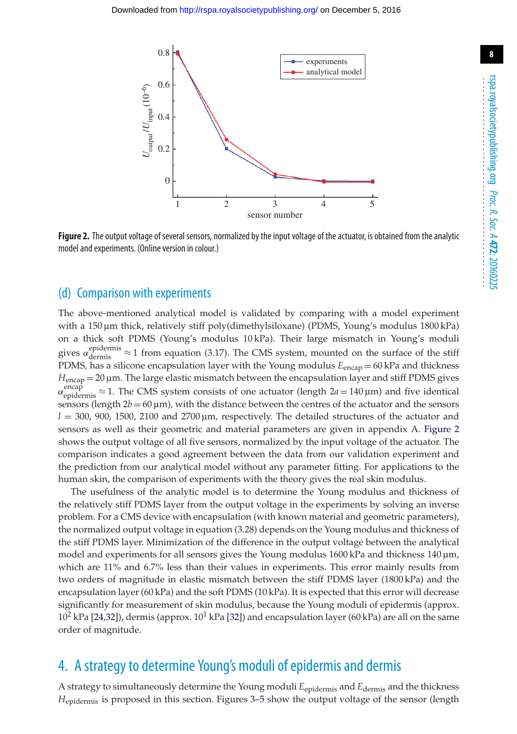

<span id="page-7-0"></span>**Figure 2.** The output voltage of several sensors, normalized by the input voltage of the actuator, is obtained from the analytic model and experiments. (Online version in colour.)

#### (d) Comparison with experiments

The above-mentioned analytical model is validated by comparing with a model experiment with a 150 µm thick, relatively stiff poly(dimethylsiloxane) (PDMS, Young's modulus 1800 kPa) on a thick soft PDMS (Young's modulus 10 kPa). Their large mismatch in Young's moduli gives  $\alpha_{\text{dermis}}^{\text{epidermis}} \approx 1$  from equation (3.17). The CMS system, mounted on the surface of the stiff PDMS, has a silicone encapsulation layer with the Young modulus  $E_{\text{encap}} = 60 \text{ kPa}$  and thickness *H*encap = 20 µm. The large elastic mismatch between the encapsulation layer and stiff PDMS gives  $\alpha_{\text{epidermis}}^{\text{encap}}$ ≈ 1. The CMS system consists of one actuator (length 2*a* = 140 μm) and five identical sensors (length  $2b = 60 \,\text{\textmu m}$ ), with the distance between the centres of the actuator and the sensors  $l = 300, 900, 1500, 2100$  and  $2700 \,\mu m$ , respectively. The detailed structures of the actuator and sensors as well as their geometric and material parameters are given in appendix A. [Figure 2](#page-7-0) shows the output voltage of all five sensors, normalized by the input voltage of the actuator. The comparison indicates a good agreement between the data from our validation experiment and the prediction from our analytical model without any parameter fitting. For applications to the human skin, the comparison of experiments with the theory gives the real skin modulus.

The usefulness of the analytic model is to determine the Young modulus and thickness of the relatively stiff PDMS layer from the output voltage in the experiments by solving an inverse problem. For a CMS device with encapsulation (with known material and geometric parameters), the normalized output voltage in equation (3.28) depends on the Young modulus and thickness of the stiff PDMS layer. Minimization of the difference in the output voltage between the analytical model and experiments for all sensors gives the Young modulus 1600 kPa and thickness 140 µm, which are 11% and 6.7% less than their values in experiments. This error mainly results from two orders of magnitude in elastic mismatch between the stiff PDMS layer (1800 kPa) and the encapsulation layer (60 kPa) and the soft PDMS (10 kPa). It is expected that this error will decrease significantly for measurement of skin modulus, because the Young moduli of epidermis (approx.  $10^2$  kPa [\[24,](#page-16-3)[32\]](#page-16-10)), dermis (approx.  $10^1$  kPa [\[32\]](#page-16-10)) and encapsulation layer (60 kPa) are all on the same order of magnitude.

# 4. A strategy to determine Young's moduli of epidermis and dermis

A strategy to simultaneously determine the Young moduli *E*epidermis and *E*dermis and the thickness *H*epidermis is proposed in this section. Figures [3](#page-8-0)[–5](#page-9-1) show the output voltage of the sensor (length **8**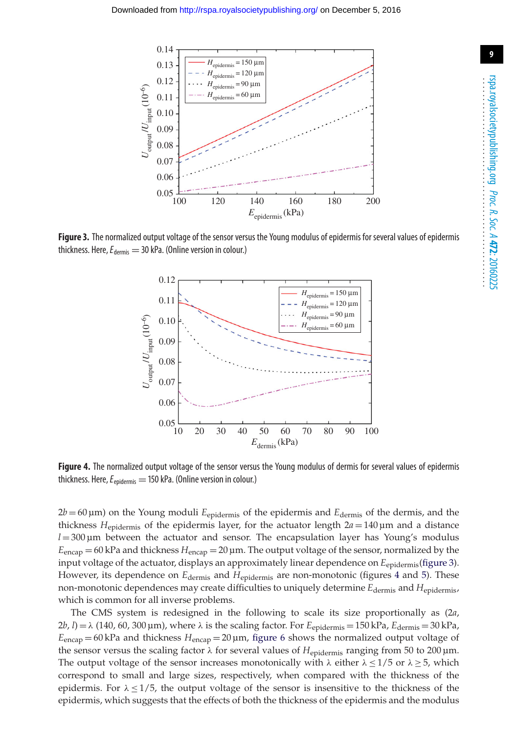

<span id="page-8-0"></span>**Figure 3.** The normalized output voltage of the sensor versus the Young modulus of epidermis for several values of epidermis thickness. Here,  $E_{\text{dermis}} = 30$  kPa. (Online version in colour.)



<span id="page-8-1"></span>**Figure 4.** The normalized output voltage of the sensor versus the Young modulus of dermis for several values of epidermis thickness. Here,*E*epidermis = 150 kPa. (Online version in colour.)

2*b* = 60 µm) on the Young moduli *E*epidermis of the epidermis and *E*dermis of the dermis, and the thickness *H*epidermis of the epidermis layer, for the actuator length 2*a* = 140 µm and a distance  $l = 300 \,\mu m$  between the actuator and sensor. The encapsulation layer has Young's modulus *E*encap = 60 kPa and thickness *H*encap = 20 µm. The output voltage of the sensor, normalized by the input voltage of the actuator, displays an approximately linear dependence on *E*<sub>epidermis</sub>[\(figure 3\)](#page-8-0). However, its dependence on *E*dermis and *H*epidermis are non-monotonic (figures [4](#page-8-1) and [5\)](#page-9-1). These non-monotonic dependences may create difficulties to uniquely determine  $E_{\text{dermis}}$  and  $H_{\text{enidermis}}$ , which is common for all inverse problems.

The CMS system is redesigned in the following to scale its size proportionally as (2*a*,  $2b$ ,  $l$ ) =  $\lambda$  (140, 60, 300 µm), where  $\lambda$  is the scaling factor. For  $E_{\text{epidermis}} = 150 \text{ kPa}$ ,  $E_{\text{dermis}} = 30 \text{ kPa}$ , *E*encap = 60 kPa and thickness *H*encap = 20 µm, [figure 6](#page-9-0) shows the normalized output voltage of the sensor versus the scaling factor λ for several values of *H*epidermis ranging from 50 to 200 µm. The output voltage of the sensor increases monotonically with  $\lambda$  either  $\lambda < 1/5$  or  $\lambda > 5$ , which correspond to small and large sizes, respectively, when compared with the thickness of the epidermis. For  $\lambda < 1/5$ , the output voltage of the sensor is insensitive to the thickness of the epidermis, which suggests that the effects of both the thickness of the epidermis and the modulus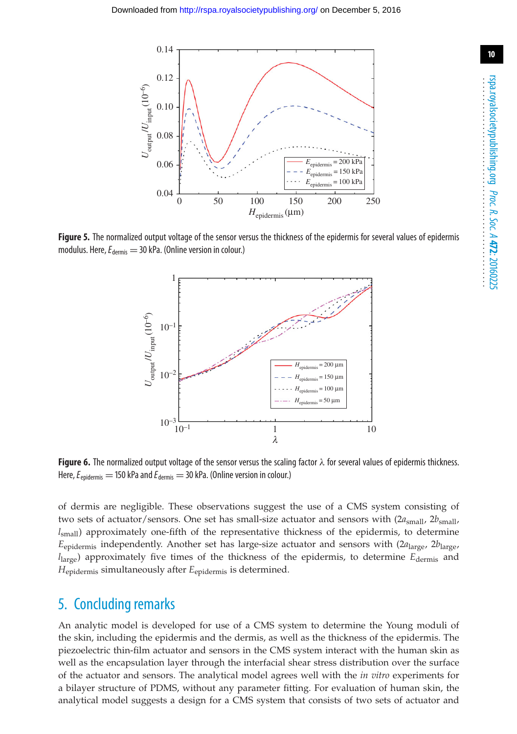

<span id="page-9-1"></span>**Figure 5.** The normalized output voltage of the sensor versus the thickness of the epidermis for several values of epidermis modulus. Here,  $E_{\text{dermis}} = 30$  kPa. (Online version in colour.)



<span id="page-9-0"></span>**Figure 6.** The normalized output voltage of the sensor versus the scaling factor λ for several values of epidermis thickness. Here,  $E_{\text{enidermis}} = 150$  kPa and  $E_{\text{dermis}} = 30$  kPa. (Online version in colour.)

of dermis are negligible. These observations suggest the use of a CMS system consisting of two sets of actuator/sensors. One set has small-size actuator and sensors with  $(2a<sub>small</sub>, 2b<sub>small</sub>)$ *l*small) approximately one-fifth of the representative thickness of the epidermis, to determine *E*epidermis independently. Another set has large-size actuator and sensors with (2*a*large, 2*b*large, *l*large) approximately five times of the thickness of the epidermis, to determine *E*dermis and *H*epidermis simultaneously after *E*epidermis is determined.

## 5. Concluding remarks

An analytic model is developed for use of a CMS system to determine the Young moduli of the skin, including the epidermis and the dermis, as well as the thickness of the epidermis. The piezoelectric thin-film actuator and sensors in the CMS system interact with the human skin as well as the encapsulation layer through the interfacial shear stress distribution over the surface of the actuator and sensors. The analytical model agrees well with the *in vitro* experiments for a bilayer structure of PDMS, without any parameter fitting. For evaluation of human skin, the analytical model suggests a design for a CMS system that consists of two sets of actuator and **10**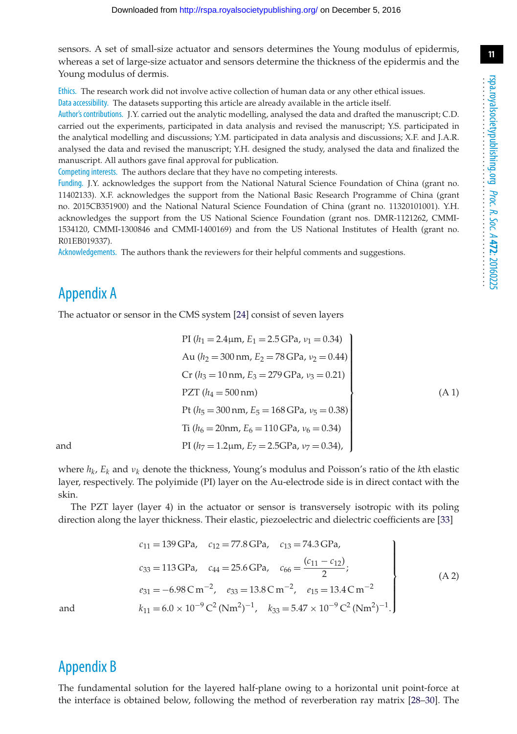**11**

sensors. A set of small-size actuator and sensors determines the Young modulus of epidermis, whereas a set of large-size actuator and sensors determine the thickness of the epidermis and the Young modulus of dermis.

Ethics. The research work did not involve active collection of human data or any other ethical issues. Data accessibility. The datasets supporting this article are already available in the article itself.

Author's contributions. J.Y. carried out the analytic modelling, analysed the data and drafted the manuscript; C.D. carried out the experiments, participated in data analysis and revised the manuscript; Y.S. participated in the analytical modelling and discussions; Y.M. participated in data analysis and discussions; X.F. and J.A.R. analysed the data and revised the manuscript; Y.H. designed the study, analysed the data and finalized the manuscript. All authors gave final approval for publication.

Competing interests. The authors declare that they have no competing interests.

Funding. J.Y. acknowledges the support from the National Natural Science Foundation of China (grant no. 11402133). X.F. acknowledges the support from the National Basic Research Programme of China (grant no. 2015CB351900) and the National Natural Science Foundation of China (grant no. 11320101001). Y.H. acknowledges the support from the US National Science Foundation (grant nos. DMR-1121262, CMMI-1534120, CMMI-1300846 and CMMI-1400169) and from the US National Institutes of Health (grant no. R01EB019337).

Acknowledgements. The authors thank the reviewers for their helpful comments and suggestions.

# Appendix A

The actuator or sensor in the CMS system [\[24\]](#page-16-3) consist of seven layers

PI (
$$
h_1 = 2.4 \mu m
$$
,  $E_1 = 2.5$  GPa,  $\nu_1 = 0.34$ )  
\nAu ( $h_2 = 300$  nm,  $E_2 = 78$  GPa,  $\nu_2 = 0.44$ )  
\nCr ( $h_3 = 10$  nm,  $E_3 = 279$  GPa,  $\nu_3 = 0.21$ )  
\nPZT ( $h_4 = 500$  nm)  
\nPt ( $h_5 = 300$  nm,  $E_5 = 168$  GPa,  $\nu_5 = 0.38$ )  
\nTi ( $h_6 = 20$  nm,  $E_6 = 110$  GPa,  $\nu_6 = 0.34$ )  
\nPl ( $h_7 = 1.2 \mu m$ ,  $E_7 = 2.5$  GPa,  $\nu_7 = 0.34$ ),

where *hk*, *Ek* and ν*<sup>k</sup>* denote the thickness, Young's modulus and Poisson's ratio of the *k*th elastic layer, respectively. The polyimide (PI) layer on the Au-electrode side is in direct contact with the skin.

The PZT layer (layer 4) in the actuator or sensor is transversely isotropic with its poling direction along the layer thickness. Their elastic, piezoelectric and dielectric coefficients are [\[33\]](#page-16-11)

$$
c_{11} = 139 \text{ GPa}, \quad c_{12} = 77.8 \text{ GPa}, \quad c_{13} = 74.3 \text{ GPa},
$$
  
\n
$$
c_{33} = 113 \text{ GPa}, \quad c_{44} = 25.6 \text{ GPa}, \quad c_{66} = \frac{(c_{11} - c_{12})}{2};
$$
  
\n
$$
e_{31} = -6.98 \text{ C m}^{-2}, \quad e_{33} = 13.8 \text{ C m}^{-2}, \quad e_{15} = 13.4 \text{ C m}^{-2}
$$
  
\nand  
\n
$$
k_{11} = 6.0 \times 10^{-9} \text{ C}^2 \text{ (Nm}^2)^{-1}, \quad k_{33} = 5.47 \times 10^{-9} \text{ C}^2 \text{ (Nm}^2)^{-1}.
$$
\n(A 2)

# Appendix B

The fundamental solution for the layered half-plane owing to a horizontal unit point-force at the interface is obtained below, following the method of reverberation ray matrix [\[28](#page-16-7)[–30\]](#page-16-8). The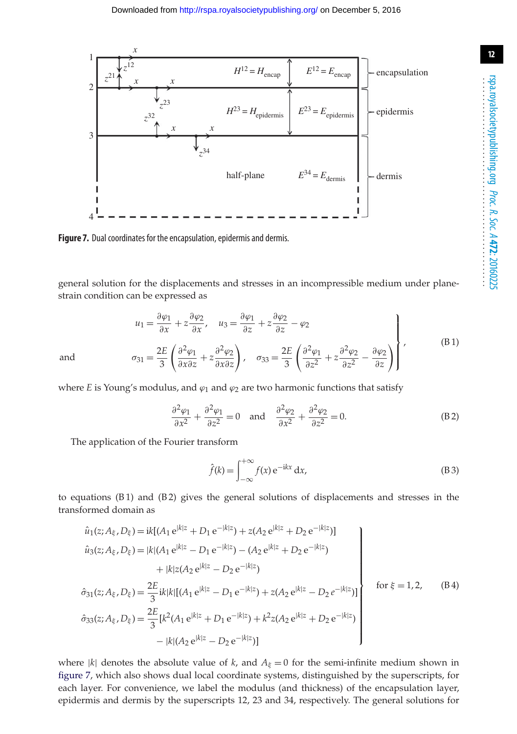

<span id="page-11-0"></span>**Figure 7.** Dual coordinates for the encapsulation, epidermis and dermis.

general solution for the displacements and stresses in an incompressible medium under planestrain condition can be expressed as

$$
u_1 = \frac{\partial \varphi_1}{\partial x} + z \frac{\partial \varphi_2}{\partial x}, \quad u_3 = \frac{\partial \varphi_1}{\partial z} + z \frac{\partial \varphi_2}{\partial z} - \varphi_2
$$
  
and  

$$
\sigma_{31} = \frac{2E}{3} \left( \frac{\partial^2 \varphi_1}{\partial x \partial z} + z \frac{\partial^2 \varphi_2}{\partial x \partial z} \right), \quad \sigma_{33} = \frac{2E}{3} \left( \frac{\partial^2 \varphi_1}{\partial z^2} + z \frac{\partial^2 \varphi_2}{\partial z^2} - \frac{\partial \varphi_2}{\partial z} \right),
$$
 (B1)

where *E* is Young's modulus, and  $\varphi_1$  and  $\varphi_2$  are two harmonic functions that satisfy

$$
\frac{\partial^2 \varphi_1}{\partial x^2} + \frac{\partial^2 \varphi_1}{\partial z^2} = 0 \quad \text{and} \quad \frac{\partial^2 \varphi_2}{\partial x^2} + \frac{\partial^2 \varphi_2}{\partial z^2} = 0.
$$
 (B2)

The application of the Fourier transform

$$
\hat{f}(k) = \int_{-\infty}^{+\infty} f(x) e^{-ikx} dx,
$$
\n(B3)

to equations  $(B1)$  and  $(B2)$  gives the general solutions of displacements and stresses in the transformed domain as

$$
\hat{u}_1(z; A_{\xi}, D_{\xi}) = ik[(A_1 e^{|k|z} + D_1 e^{-|k|z}) + z(A_2 e^{|k|z} + D_2 e^{-|k|z})]
$$
\n
$$
\hat{u}_3(z; A_{\xi}, D_{\xi}) = |k|(A_1 e^{|k|z} - D_1 e^{-|k|z}) - (A_2 e^{|k|z} + D_2 e^{-|k|z})
$$
\n
$$
+ |k|z(A_2 e^{|k|z} - D_2 e^{-|k|z})
$$
\n
$$
\hat{\sigma}_{31}(z; A_{\xi}, D_{\xi}) = \frac{2E}{3}ik|k|[(A_1 e^{|k|z} - D_1 e^{-|k|z}) + z(A_2 e^{|k|z} - D_2 e^{-|k|z})]
$$
\nfor  $\xi = 1, 2, (B4)$   
\n
$$
\hat{\sigma}_{33}(z; A_{\xi}, D_{\xi}) = \frac{2E}{3}[k^2(A_1 e^{|k|z} + D_1 e^{-|k|z}) + k^2 z(A_2 e^{|k|z} + D_2 e^{-|k|z})
$$
\n
$$
- |k|(A_2 e^{|k|z} - D_2 e^{-|k|z})]
$$

where  $|k|$  denotes the absolute value of *k*, and  $A_{\xi} = 0$  for the semi-infinite medium shown in [figure 7,](#page-11-0) which also shows dual local coordinate systems, distinguished by the superscripts, for each layer. For convenience, we label the modulus (and thickness) of the encapsulation layer, epidermis and dermis by the superscripts 12, 23 and 34, respectively. The general solutions for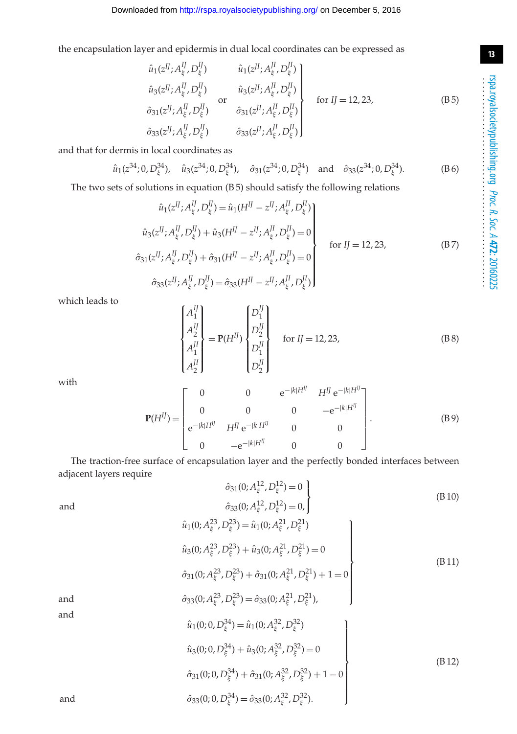(B 10)

the encapsulation layer and epidermis in dual local coordinates can be expressed as

$$
\hat{u}_{1}(z^{IJ}; A_{\xi}^{IJ}, D_{\xi}^{IJ}) \qquad \hat{u}_{1}(z^{JI}; A_{\xi}^{JI}, D_{\xi}^{JI}) \n\hat{u}_{3}(z^{IJ}; A_{\xi}^{IJ}, D_{\xi}^{IJ}) \qquad \hat{u}_{3}(z^{JI}; A_{\xi}^{JI}, D_{\xi}^{JI}) \n\hat{\sigma}_{31}(z^{IJ}; A_{\xi}^{IJ}, D_{\xi}^{IJ}) \qquad \hat{\sigma}_{31}(z^{JI}; A_{\xi}^{JI}, D_{\xi}^{JI}) \n\hat{\sigma}_{33}(z^{JI}; A_{\xi}^{JI}, D_{\xi}^{IJ}) \qquad \hat{\sigma}_{33}(z^{JI}; A_{\xi}^{JI}, D_{\xi}^{JI})
$$
\n(B5)

and that for dermis in local coordinates as

$$
\hat{u}_1(z^{34}; 0, D_{\xi}^{34}), \quad \hat{u}_3(z^{34}; 0, D_{\xi}^{34}), \quad \hat{\sigma}_{31}(z^{34}; 0, D_{\xi}^{34}) \quad \text{and} \quad \hat{\sigma}_{33}(z^{34}; 0, D_{\xi}^{34}).
$$
 (B6)

The two sets of solutions in equation (B 5) should satisfy the following relations

$$
\hat{u}_{1}(z^{IJ}; A_{\xi}^{IJ}, D_{\xi}^{IJ}) = \hat{u}_{1}(H^{IJ} - z^{IJ}; A_{\xi}^{II}, D_{\xi}^{IJ})
$$
\n
$$
\hat{u}_{3}(z^{IJ}; A_{\xi}^{IJ}, D_{\xi}^{IJ}) + \hat{u}_{3}(H^{IJ} - z^{IJ}; A_{\xi}^{II}, D_{\xi}^{IJ}) = 0
$$
\n
$$
\hat{\sigma}_{31}(z^{IJ}; A_{\xi}^{IJ}, D_{\xi}^{IJ}) + \hat{\sigma}_{31}(H^{IJ} - z^{IJ}; A_{\xi}^{II}, D_{\xi}^{IJ}) = 0
$$
\n
$$
\hat{\sigma}_{33}(z^{IJ}; A_{\xi}^{IJ}, D_{\xi}^{IJ}) = \hat{\sigma}_{33}(H^{IJ} - z^{IJ}; A_{\xi}^{I} , D_{\xi}^{I})
$$
\n
$$
(B7)
$$

which leads to

$$
\begin{cases}\nA_1^I \\
A_2^I \\
A_1^I \\
A_2^I\n\end{cases} = P(H^{IJ}) \begin{cases}\nD_1^I \\
D_2^I \\
D_1^I \\
D_2^I\n\end{cases} \quad \text{for } II = 12, 23,\n\tag{B8}
$$

with

$$
\mathbf{P}(H^{IJ}) = \begin{bmatrix} 0 & 0 & e^{-|k|H^{IJ}} & H^{IJ} e^{-|k|H^{IJ}} \\ 0 & 0 & 0 & -e^{-|k|H^{IJ}} \\ e^{-|k|H^{IJ}} & H^{IJ} e^{-|k|H^{IJ}} & 0 & 0 \\ 0 & -e^{-|k|H^{IJ}} & 0 & 0 \end{bmatrix}.
$$
 (B9)

The traction-free surface of encapsulation layer and the perfectly bonded interfaces between adjacent layers require

and 
$$
\hat{\sigma}_{31}(0; A_{\xi}^{12}, D_{\xi}^{12}) = 0
$$

$$
\hat{\sigma}_{33}(0; A_{\xi}^{12}, D_{\xi}^{12}) = 0,
$$

$$
\hat{\sigma}_{33}(0; A_{\xi}^{\{2\}} , D_{\xi}^{\{2\}}) = 0, \Big\}
$$
  

$$
\hat{u}_1(0; A_{\xi}^{23}, D_{\xi}^{23}) = \hat{u}_1(0; A_{\xi}^{21}, D_{\xi}^{21})
$$
  

$$
\hat{u}_3(0; A_{\xi}^{23}, D_{\xi}^{23}) + \hat{u}_3(0; A_{\xi}^{21}, D_{\xi}^{21}) = 0
$$
  

$$
\hat{\sigma}_{31}(0; A_{\xi}^{23}, D_{\xi}^{23}) + \hat{\sigma}_{31}(0; A_{\xi}^{21}, D_{\xi}^{21}) + 1 = 0
$$
 (B 11)

⎪⎪⎪⎪⎪⎪⎪⎪⎪⎭

and

and  
\n
$$
\hat{\sigma}_{33}(0; A_{\xi}^{23}, D_{\xi}^{23}) = \hat{\sigma}_{33}(0; A_{\xi}^{21}, D_{\xi}^{21}),
$$
\nand  
\n
$$
\hat{u}_1(0; 0, D_{\xi}^{34}) = \hat{u}_1(0; A_{\xi}^{32}, D_{\xi}^{32})
$$
\n
$$
\hat{u}_3(0; 0, D_{\xi}^{34}) + \hat{u}_3(0; A_{\xi}^{32}, D_{\xi}^{32}) = 0
$$
\n
$$
\hat{\sigma}_{31}(0; 0, D_{\xi}^{34}) + \hat{\sigma}_{31}(0; A_{\xi}^{32}, D_{\xi}^{32}) + 1 = 0
$$
\nand  
\n
$$
\hat{\sigma}_{33}(0; 0, D_{\xi}^{34}) = \hat{\sigma}_{33}(0; A_{\xi}^{32}, D_{\xi}^{32}).
$$
\n(B12)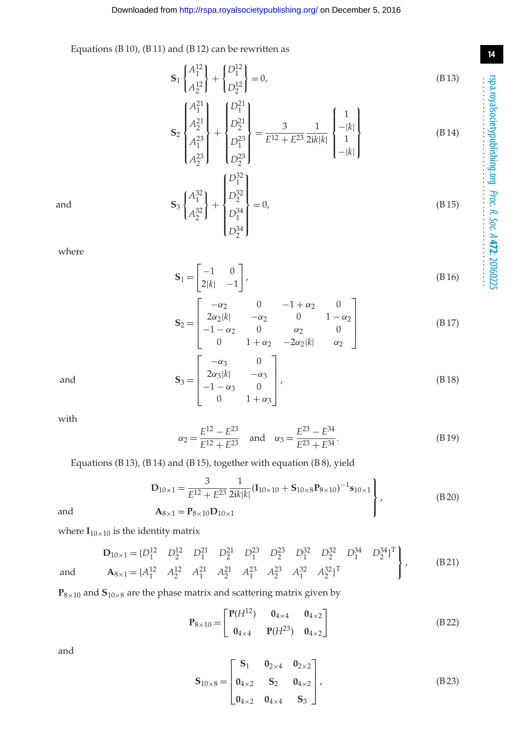, (B 18)

**14**

Equations (B 10), (B 11) and (B 12) can be rewritten as

$$
\mathbf{S}_1 \begin{Bmatrix} A_1^{12} \\ A_2^{12} \end{Bmatrix} + \begin{Bmatrix} D_1^{12} \\ D_2^{12} \end{Bmatrix} = 0,
$$
 (B13)

$$
\mathbf{S}_{2}\begin{bmatrix} A_{1}^{21} \\ A_{2}^{21} \\ A_{1}^{23} \\ A_{2}^{23} \end{bmatrix} + \begin{bmatrix} D_{1}^{21} \\ D_{2}^{21} \\ D_{1}^{23} \\ D_{2}^{23} \end{bmatrix} = \frac{3}{E^{12} + E^{23}} \frac{1}{2ik|k|} \begin{bmatrix} 1 \\ -|k| \\ 1 \\ -|k| \end{bmatrix}
$$
(B 14)

$$
\mathbf{S}_3 \begin{Bmatrix} A_1^{32} \\ A_2^{32} \end{Bmatrix} + \begin{Bmatrix} D_1^{32} \\ D_2^{32} \\ D_1^{34} \\ D_2^{34} \end{Bmatrix} = 0,
$$
 (B 15)

where

$$
\mathbf{S}_1 = \begin{bmatrix} -1 & 0 \\ 2|k| & -1 \end{bmatrix},\tag{B.16}
$$

$$
\mathbf{S}_{2} = \begin{bmatrix} -\alpha_{2} & 0 & -1 + \alpha_{2} & 0 \\ 2\alpha_{2}|k| & -\alpha_{2} & 0 & 1 - \alpha_{2} \\ -1 - \alpha_{2} & 0 & \alpha_{2} & 0 \\ 0 & 1 + \alpha_{2} & -2\alpha_{2}|k| & \alpha_{2} \end{bmatrix}
$$
(B17)

and  $S_3 =$ 

with

$$
\alpha_2 = \frac{E^{12} - E^{23}}{E^{12} + E^{23}} \quad \text{and} \quad \alpha_3 = \frac{E^{23} - E^{34}}{E^{23} + E^{34}}.
$$
 (B.19)

Equations (B 13), (B 14) and (B 15), together with equation (B 8), yield

 $\begin{bmatrix} \frac{1}{2} & \frac{1}{2} \\ \frac{1}{2} & \frac{1}{2} \end{bmatrix}$ 

 $2\alpha_3|k|$   $-\alpha_3$  $-1 - \alpha_3$  0 0  $1 + \alpha_3$ 

 $\overline{\phantom{a}}$ 

$$
\mathbf{D}_{10\times 1} = \frac{3}{E^{12} + E^{23}} \frac{1}{2ik|k|} (\mathbf{I}_{10\times 10} + \mathbf{S}_{10\times 8} \mathbf{P}_{8\times 10})^{-1} \mathbf{s}_{10\times 1}
$$
\n
$$
\mathbf{A}_{8\times 1} = \mathbf{P}_{8\times 10} \mathbf{D}_{10\times 1}
$$
\n(B20)

where 
$$
I_{10 \times 10}
$$
 is the identity matrix

$$
\mathbf{D}_{10\times 1} = \{D_1^{12} \quad D_2^{12} \quad D_1^{21} \quad D_2^{21} \quad D_1^{23} \quad D_2^{23} \quad D_1^{32} \quad D_2^{32} \quad D_1^{34} \quad D_2^{34} \}^{\mathrm{T}} \\ \text{and} \qquad \mathbf{A}_{8\times 1} = \{A_1^{12} \quad A_2^{12} \quad A_1^{21} \quad A_2^{21} \quad A_1^{23} \quad A_2^{23} \quad A_1^{32} \quad A_2^{32} \}^{\mathrm{T}} \qquad (B \ 21)
$$

 $P_{8\times10}$  and  $S_{10\times8}$  are the phase matrix and scattering matrix given by

$$
\mathbf{P}_{8\times 10} = \begin{bmatrix} \mathbf{P}(H^{12}) & \mathbf{0}_{4\times 4} & \mathbf{0}_{4\times 2} \\ \mathbf{0}_{4\times 4} & \mathbf{P}(H^{23}) & \mathbf{0}_{4\times 2} \end{bmatrix}
$$
 (B 22)

and

$$
\mathbf{S}_{10\times8} = \begin{bmatrix} \mathbf{S}_1 & \mathbf{0}_{2\times4} & \mathbf{0}_{2\times2} \\ \mathbf{0}_{4\times2} & \mathbf{S}_2 & \mathbf{0}_{4\times2} \\ \mathbf{0}_{4\times2} & \mathbf{0}_{4\times4} & \mathbf{S}_3 \end{bmatrix},
$$
(B 23)

and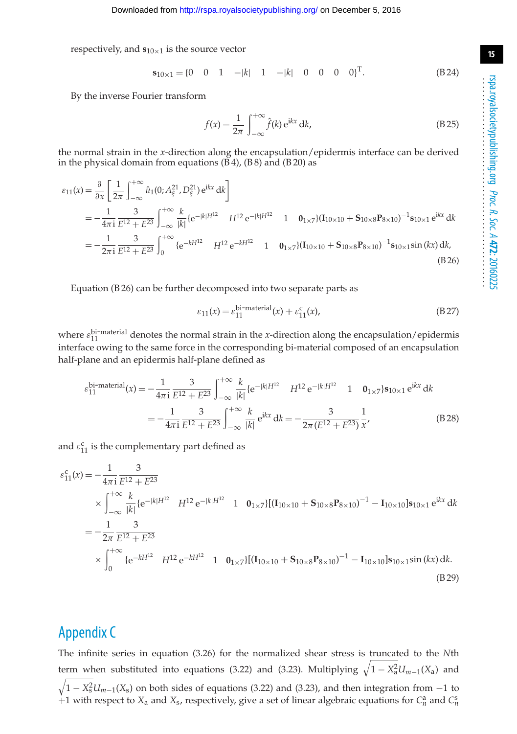respectively, and  $s_{10\times1}$  is the source vector

$$
\mathbf{s}_{10\times 1} = \begin{bmatrix} 0 & 0 & 1 & -|k| & 1 & -|k| & 0 & 0 & 0 & 0 \end{bmatrix}^{\mathrm{T}}.
$$
 (B24)

By the inverse Fourier transform

$$
f(x) = \frac{1}{2\pi} \int_{-\infty}^{+\infty} \hat{f}(k) e^{ikx} dk,
$$
 (B.25)

the normal strain in the *x*-direction along the encapsulation/epidermis interface can be derived in the physical domain from equations (B 4), (B 8) and (B 20) as

$$
\varepsilon_{11}(x) = \frac{\partial}{\partial x} \left[ \frac{1}{2\pi} \int_{-\infty}^{+\infty} \hat{u}_1(0; A_{\xi}^{21}, D_{\xi}^{21}) e^{ikx} dk \right]
$$
  
\n
$$
= -\frac{1}{4\pi i} \frac{3}{E^{12} + E^{23}} \int_{-\infty}^{+\infty} \frac{k}{|k|} \{e^{-|k|H^{12}} H^{12} e^{-|k|H^{12}} 1 0_{1 \times 7} \} (\mathbf{I}_{10 \times 10} + \mathbf{S}_{10 \times 8} \mathbf{P}_{8 \times 10})^{-1} \mathbf{s}_{10 \times 1} e^{ikx} dk
$$
  
\n
$$
= -\frac{1}{2\pi i} \frac{3}{E^{12} + E^{23}} \int_{0}^{+\infty} \{e^{-kH^{12}} H^{12} e^{-kH^{12}} 1 0_{1 \times 7} \} (\mathbf{I}_{10 \times 10} + \mathbf{S}_{10 \times 8} \mathbf{P}_{8 \times 10})^{-1} \mathbf{s}_{10 \times 1} \sin(kx) dk,
$$
  
\n(B26)

Equation (B 26) can be further decomposed into two separate parts as

$$
\varepsilon_{11}(x) = \varepsilon_{11}^{\text{bi-material}}(x) + \varepsilon_{11}^{\text{c}}(x),\tag{B.27}
$$

where  $\varepsilon_{11}^{\text{bi-material}}$  denotes the normal strain in the *x*-direction along the encapsulation/epidermis interface owing to the same force in the corresponding bi-material composed of an encapsulation half-plane and an epidermis half-plane defined as

$$
\varepsilon_{11}^{\text{bi-material}}(x) = -\frac{1}{4\pi i} \frac{3}{E^{12} + E^{23}} \int_{-\infty}^{+\infty} \frac{k}{|k|} \{e^{-|k|H^{12}} \quad H^{12} e^{-|k|H^{12}} \quad 1 \quad \mathbf{0}_{1 \times 7} \} \mathbf{s}_{10 \times 1} e^{ikx} dk
$$

$$
= -\frac{1}{4\pi i} \frac{3}{E^{12} + E^{23}} \int_{-\infty}^{+\infty} \frac{k}{|k|} e^{ikx} dk = -\frac{3}{2\pi (E^{12} + E^{23})} \frac{1}{x'}, \tag{B.28}
$$

and  $\varepsilon_{11}^{\rm c}$  is the complementary part defined as

$$
\varepsilon_{11}^{c}(x) = -\frac{1}{4\pi i} \frac{3}{E^{12} + E^{23}}
$$
\n
$$
\times \int_{-\infty}^{+\infty} \frac{k}{|k|} \{e^{-|k|H^{12}} H^{12} e^{-|k|H^{12}} 1 0_{1 \times 7}\} [(I_{10 \times 10} + S_{10 \times 8} P_{8 \times 10})^{-1} - I_{10 \times 10}] s_{10 \times 1} e^{ikx} dk
$$
\n
$$
= -\frac{1}{2\pi} \frac{3}{E^{12} + E^{23}}
$$
\n
$$
\times \int_{0}^{+\infty} \{e^{-kH^{12}} H^{12} e^{-kH^{12}} 1 0_{1 \times 7}\} [(I_{10 \times 10} + S_{10 \times 8} P_{8 \times 10})^{-1} - I_{10 \times 10}] s_{10 \times 1} \sin(kx) dk.
$$
\n(B29)

# Appendix C

The infinite series in equation (3.26) for the normalized shear stress is truncated to the *N*th term when substituted into equations (3.22) and (3.23). Multiplying  $\sqrt{1 - X_a^2} U_{m-1}(X_a)$  and  $\sqrt{1-X_s^2}U_{m-1}(X_s)$  on both sides of equations (3.22) and (3.23), and then integration from  $-1$  to +1 with respect to  $X_a$  and  $X_s$ , respectively, give a set of linear algebraic equations for  $C_n^a$  and  $C_n^s$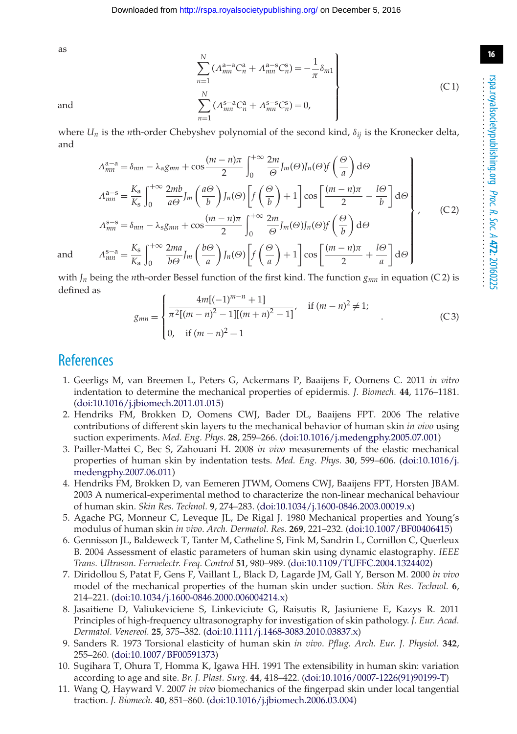**16**

*N*

as

$$
\sum_{n=1}^{N} (\Lambda_{mn}^{a-a} C_n^a + \Lambda_{mn}^{a-s} C_n^s) = -\frac{1}{\pi} \delta_{m1}
$$
\n
$$
\sum_{n=1}^{N} (\Lambda_{mn}^{s-a} C_n^a + \Lambda_{mn}^{s-s} C_n^s) = 0,
$$
\n(C1)

 $\left[\frac{(m-n)\pi}{2} + \frac{l\Theta}{a}\right]$ 

*a*  $\int d\theta$ 

where  $U_n$  is the *n*th-order Chebyshev polynomial of the second kind,  $\delta_{ij}$  is the Kronecker delta, and

$$
A_{mn}^{a-a} = \delta_{mn} - \lambda_a g_{mn} + \cos\frac{(m-n)\pi}{2} \int_0^{+\infty} \frac{2m}{\Theta} J_m(\Theta) J_n(\Theta) f\left(\frac{\Theta}{a}\right) d\Theta
$$
  
\n
$$
A_{mn}^{a-s} = \frac{K_a}{K_s} \int_0^{+\infty} \frac{2mb}{a\Theta} J_m\left(\frac{a\Theta}{b}\right) J_n(\Theta) \left[ f\left(\frac{\Theta}{b}\right) + 1 \right] \cos\left[\frac{(m-n)\pi}{2} - \frac{l\Theta}{b}\right] d\Theta
$$
  
\n
$$
A_{mn}^{s-s} = \delta_{mn} - \lambda_s g_{mn} + \cos\frac{(m-n)\pi}{2} \int_0^{+\infty} \frac{2m}{\Theta} J_m(\Theta) J_n(\Theta) f\left(\frac{\Theta}{b}\right) d\Theta
$$
  
\n
$$
A_{mn}^{s-a} = \frac{K_s}{K_a} \int_0^{+\infty} \frac{2ma}{b\Theta} J_m\left(\frac{b\Theta}{a}\right) J_n(\Theta) \left[ f\left(\frac{\Theta}{a}\right) + 1 \right] \cos\left[\frac{(m-n)\pi}{2} + \frac{l\Theta}{a}\right] d\Theta
$$
\n(C2)

and  $A_{mn}^{s-a} = \frac{K_s}{K_a}$ 

with  $J_n$  being the *n*th-order Bessel function of the first kind. The function  $g_{mn}$  in equation (C 2) is defined as

*a*

 $\int f_n(\Theta) \left[ f\left( \frac{\Theta}{a} \right) \right]$ 

$$
g_{mn} = \begin{cases} \frac{4m[(-1)^{m-n} + 1]}{\pi^2 [(m-n)^2 - 1][(m+n)^2 - 1]}, & \text{if } (m-n)^2 \neq 1; \\ 0, & \text{if } (m-n)^2 = 1 \end{cases}
$$
 (C3)

## <span id="page-15-0"></span>**References**

 $\int^{+\infty}$  $\theta$ 

2*ma <sup>b</sup>*<sup>Θ</sup> *Jm b*Θ *a*

- 1. Geerligs M, van Breemen L, Peters G, Ackermans P, Baaijens F, Oomens C. 2011 *in vitro* indentation to determine the mechanical properties of epidermis. *J. Biomech.* **44**, 1176–1181. [\(doi:10.1016/j.jbiomech.2011.01.015\)](http://dx.doi.org/10.1016/j.jbiomech.2011.01.015)
- <span id="page-15-1"></span>2. Hendriks FM, Brokken D, Oomens CWJ, Bader DL, Baaijens FPT. 2006 The relative contributions of different skin layers to the mechanical behavior of human skin *in vivo* using suction experiments. *Med. Eng. Phys.* **28**, 259–266. [\(doi:10.1016/j.medengphy.2005.07.001\)](http://dx.doi.org/10.1016/j.medengphy.2005.07.001)
- <span id="page-15-2"></span>3. Pailler-Mattei C, Bec S, Zahouani H. 2008 *in vivo* measurements of the elastic mechanical properties of human skin by indentation tests. *Med. Eng. Phys.* **30**, 599–606. [\(doi:10.1016/j.](http://dx.doi.org/10.1016/j.medengphy.2007.06.011) [medengphy.2007.06.011\)](http://dx.doi.org/10.1016/j.medengphy.2007.06.011)
- <span id="page-15-3"></span>4. Hendriks FM, Brokken D, van Eemeren JTWM, Oomens CWJ, Baaijens FPT, Horsten JBAM. 2003 A numerical-experimental method to characterize the non-linear mechanical behaviour of human skin. *Skin Res. Technol.* **9**, 274–283. [\(doi:10.1034/j.1600-0846.2003.00019.x\)](http://dx.doi.org/10.1034/j.1600-0846.2003.00019.x)
- <span id="page-15-4"></span>5. Agache PG, Monneur C, Leveque JL, De Rigal J. 1980 Mechanical properties and Young's modulus of human skin *in vivo*. *Arch. Dermatol. Res.* **269**, 221–232. [\(doi:10.1007/BF00406415\)](http://dx.doi.org/10.1007/BF00406415)
- <span id="page-15-5"></span>6. Gennisson JL, Baldeweck T, Tanter M, Catheline S, Fink M, Sandrin L, Cornillon C, Querleux B. 2004 Assessment of elastic parameters of human skin using dynamic elastography. *IEEE Trans. Ultrason. Ferroelectr. Freq. Control* **51**, 980–989. [\(doi:10.1109/TUFFC.2004.1324402\)](http://dx.doi.org/10.1109/TUFFC.2004.1324402)
- <span id="page-15-6"></span>7. Diridollou S, Patat F, Gens F, Vaillant L, Black D, Lagarde JM, Gall Y, Berson M. 2000 *in vivo* model of the mechanical properties of the human skin under suction. *Skin Res. Technol.* **6**, 214–221. [\(doi:10.1034/j.1600-0846.2000.006004214.x\)](http://dx.doi.org/10.1034/j.1600-0846.2000.006004214.x)
- <span id="page-15-7"></span>8. Jasaitiene D, Valiukeviciene S, Linkeviciute G, Raisutis R, Jasiuniene E, Kazys R. 2011 Principles of high-frequency ultrasonography for investigation of skin pathology. *J. Eur. Acad. Dermatol. Venereol.* **25**, 375–382. [\(doi:10.1111/j.1468-3083.2010.03837.x\)](http://dx.doi.org/10.1111/j.1468-3083.2010.03837.x)
- <span id="page-15-8"></span>9. Sanders R. 1973 Torsional elasticity of human skin *in vivo*. *Pflug. Arch. Eur. J. Physiol.* **342**, 255–260. [\(doi:10.1007/BF00591373\)](http://dx.doi.org/10.1007/BF00591373)
- <span id="page-15-9"></span>10. Sugihara T, Ohura T, Homma K, Igawa HH. 1991 The extensibility in human skin: variation according to age and site. *Br. J. Plast. Surg.* **44**, 418–422. [\(doi:10.1016/0007-1226\(91\)90199-T\)](http://dx.doi.org/10.1016/0007-1226(91)90199-T)
- <span id="page-15-10"></span>11. Wang Q, Hayward V. 2007 *in vivo* biomechanics of the fingerpad skin under local tangential traction. *J. Biomech.* **40**, 851–860. [\(doi:10.1016/j.jbiomech.2006.03.004\)](http://dx.doi.org/10.1016/j.jbiomech.2006.03.004)